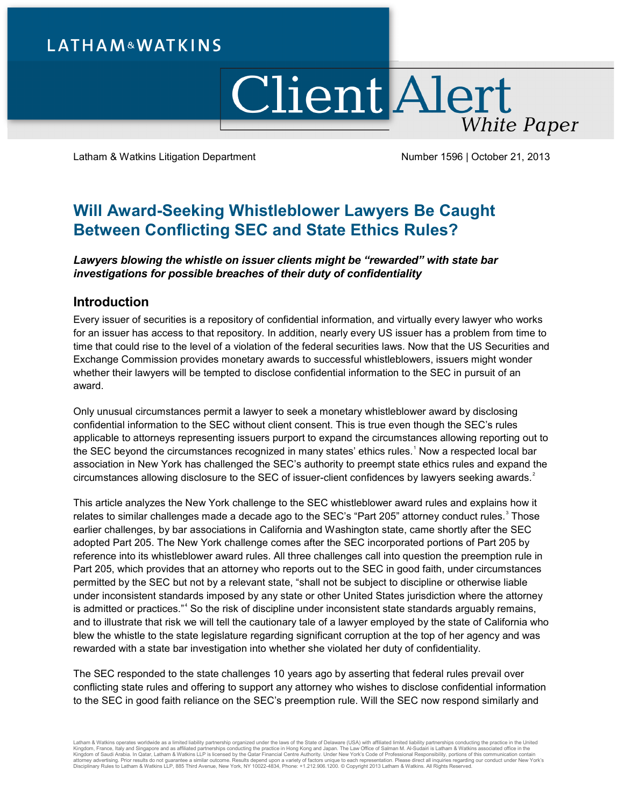# **LATHAM&WATKINS**

# **Client Alert White Paper**

Latham & Watkins Litigation Department Number 1596 | October 21, 2013

## **Will Award-Seeking Whistleblower Lawyers Be Caught Between Conflicting SEC and State Ethics Rules?**

*Lawyers blowing the whistle on issuer clients might be "rewarded" with state bar investigations for possible breaches of their duty of confidentiality*

#### **Introduction**

Every issuer of securities is a repository of confidential information, and virtually every lawyer who works for an issuer has access to that repository. In addition, nearly every US issuer has a problem from time to time that could rise to the level of a violation of the federal securities laws. Now that the US Securities and Exchange Commission provides monetary awards to successful whistleblowers, issuers might wonder whether their lawyers will be tempted to disclose confidential information to the SEC in pursuit of an award.

Only unusual circumstances permit a lawyer to seek a monetary whistleblower award by disclosing confidential information to the SEC without client consent. This is true even though the SEC's rules applicable to attorneys representing issuers purport to expand the circumstances allowing reporting out to the SEC beyond the circumstances recognized in many states' ethics rules.<sup>[1](#page-8-0)</sup> Now a respected local bar association in New York has challenged the SEC's authority to preempt state ethics rules and expand the circumstances allowing disclosure to the SEC of issuer-client confidences by lawyers seeking awards.<sup>[2](#page-8-1)</sup>

This article analyzes the New York challenge to the SEC whistleblower award rules and explains how it relates to similar challenges made a decade ago to the SEC's "Part 205" attorney conduct rules. $^3$  $^3$  Those earlier challenges, by bar associations in California and Washington state, came shortly after the SEC adopted Part 205. The New York challenge comes after the SEC incorporated portions of Part 205 by reference into its whistleblower award rules. All three challenges call into question the preemption rule in Part 205, which provides that an attorney who reports out to the SEC in good faith, under circumstances permitted by the SEC but not by a relevant state, "shall not be subject to discipline or otherwise liable under inconsistent standards imposed by any state or other United States jurisdiction where the attorney is admitted or practices."<sup>[4](#page-8-3)</sup> So the risk of discipline under inconsistent state standards arguably remains, and to illustrate that risk we will tell the cautionary tale of a lawyer employed by the state of California who blew the whistle to the state legislature regarding significant corruption at the top of her agency and was rewarded with a state bar investigation into whether she violated her duty of confidentiality.

The SEC responded to the state challenges 10 years ago by asserting that federal rules prevail over conflicting state rules and offering to support any attorney who wishes to disclose confidential information to the SEC in good faith reliance on the SEC's preemption rule. Will the SEC now respond similarly and

Latham & Watkins operates worldwide as a limited liability partnership organized under the laws of the State of Delaware (USA) with affiliated pinited liability partnershipsins conducting the practice in Hong Kong and Japa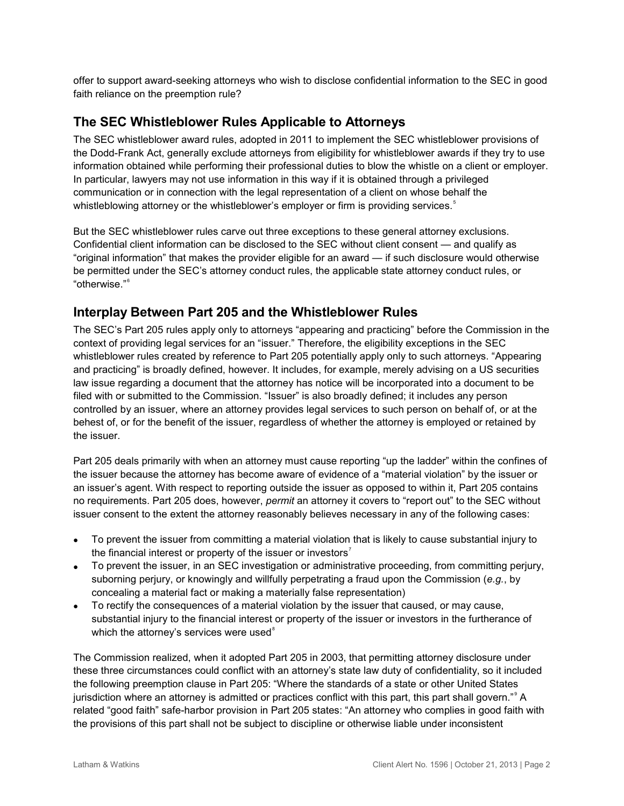offer to support award-seeking attorneys who wish to disclose confidential information to the SEC in good faith reliance on the preemption rule?

### **The SEC Whistleblower Rules Applicable to Attorneys**

The SEC whistleblower award rules, adopted in 2011 to implement the SEC whistleblower provisions of the Dodd-Frank Act, generally exclude attorneys from eligibility for whistleblower awards if they try to use information obtained while performing their professional duties to blow the whistle on a client or employer. In particular, lawyers may not use information in this way if it is obtained through a privileged communication or in connection with the legal representation of a client on whose behalf the whistleblowing attorney or the whistleblower's employer or firm is providing services.<sup>[5](#page-8-4)</sup>

But the SEC whistleblower rules carve out three exceptions to these general attorney exclusions. Confidential client information can be disclosed to the SEC without client consent — and qualify as "original information" that makes the provider eligible for an award — if such disclosure would otherwise be permitted under the SEC's attorney conduct rules, the applicable state attorney conduct rules, or "otherwise."<sup>[6](#page-8-5)</sup>

#### **Interplay Between Part 205 and the Whistleblower Rules**

The SEC's Part 205 rules apply only to attorneys "appearing and practicing" before the Commission in the context of providing legal services for an "issuer." Therefore, the eligibility exceptions in the SEC whistleblower rules created by reference to Part 205 potentially apply only to such attorneys. "Appearing and practicing" is broadly defined, however. It includes, for example, merely advising on a US securities law issue regarding a document that the attorney has notice will be incorporated into a document to be filed with or submitted to the Commission. "Issuer" is also broadly defined; it includes any person controlled by an issuer, where an attorney provides legal services to such person on behalf of, or at the behest of, or for the benefit of the issuer, regardless of whether the attorney is employed or retained by the issuer.

Part 205 deals primarily with when an attorney must cause reporting "up the ladder" within the confines of the issuer because the attorney has become aware of evidence of a "material violation" by the issuer or an issuer's agent. With respect to reporting outside the issuer as opposed to within it, Part 205 contains no requirements. Part 205 does, however, *permit* an attorney it covers to "report out" to the SEC without issuer consent to the extent the attorney reasonably believes necessary in any of the following cases:

- To prevent the issuer from committing a material violation that is likely to cause substantial injury to the financial interest or property of the issuer or investors<sup>[7](#page-8-6)</sup>
- To prevent the issuer, in an SEC investigation or administrative proceeding, from committing perjury, suborning perjury, or knowingly and willfully perpetrating a fraud upon the Commission (*e.g.*, by concealing a material fact or making a materially false representation)
- To rectify the consequences of a material violation by the issuer that caused, or may cause, substantial injury to the financial interest or property of the issuer or investors in the furtherance of which the attorney's services were used<sup>[8](#page-8-7)</sup>

The Commission realized, when it adopted Part 205 in 2003, that permitting attorney disclosure under these three circumstances could conflict with an attorney's state law duty of confidentiality, so it included the following preemption clause in Part 205: "Where the standards of a state or other United States jurisdiction where an attorney is admitted or practices conflict with this part, this part shall govern." A related "good faith" safe-harbor provision in Part 205 states: "An attorney who complies in good faith with the provisions of this part shall not be subject to discipline or otherwise liable under inconsistent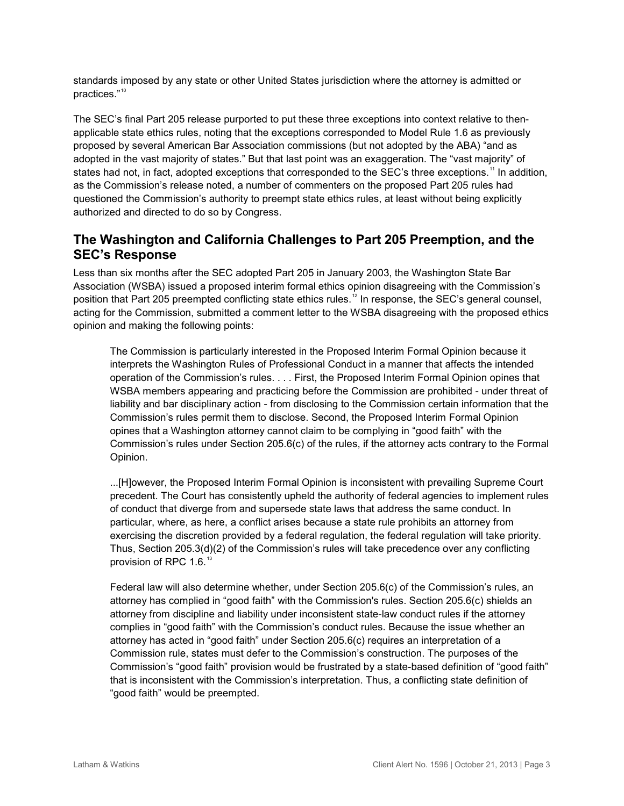standards imposed by any state or other United States jurisdiction where the attorney is admitted or practices."<sup>[10](#page-8-9)</sup>

The SEC's final Part 205 release purported to put these three exceptions into context relative to thenapplicable state ethics rules, noting that the exceptions corresponded to Model Rule 1.6 as previously proposed by several American Bar Association commissions (but not adopted by the ABA) "and as adopted in the vast majority of states." But that last point was an exaggeration. The "vast majority" of states had not, in fact, adopted exceptions that corresponded to the SEC's three exceptions.<sup>[11](#page-8-10)</sup> In addition, as the Commission's release noted, a number of commenters on the proposed Part 205 rules had questioned the Commission's authority to preempt state ethics rules, at least without being explicitly authorized and directed to do so by Congress.

#### **The Washington and California Challenges to Part 205 Preemption, and the SEC's Response**

Less than six months after the SEC adopted Part 205 in January 2003, the Washington State Bar Association (WSBA) issued a proposed interim formal ethics opinion disagreeing with the Commission's position that Part 205 preempted conflicting state ethics rules. [12](#page-8-11) In response, the SEC's general counsel, acting for the Commission, submitted a comment letter to the WSBA disagreeing with the proposed ethics opinion and making the following points:

The Commission is particularly interested in the Proposed Interim Formal Opinion because it interprets the Washington Rules of Professional Conduct in a manner that affects the intended operation of the Commission's rules. . . . First, the Proposed Interim Formal Opinion opines that WSBA members appearing and practicing before the Commission are prohibited - under threat of liability and bar disciplinary action - from disclosing to the Commission certain information that the Commission's rules permit them to disclose. Second, the Proposed Interim Formal Opinion opines that a Washington attorney cannot claim to be complying in "good faith" with the Commission's rules under Section 205.6(c) of the rules, if the attorney acts contrary to the Formal Opinion.

...[H]owever, the Proposed Interim Formal Opinion is inconsistent with prevailing Supreme Court precedent. The Court has consistently upheld the authority of federal agencies to implement rules of conduct that diverge from and supersede state laws that address the same conduct. In particular, where, as here, a conflict arises because a state rule prohibits an attorney from exercising the discretion provided by a federal regulation, the federal regulation will take priority. Thus, Section 205.3(d)(2) of the Commission's rules will take precedence over any conflicting provision of RPC 1.6.<sup>[13](#page-8-12)</sup>

Federal law will also determine whether, under Section 205.6(c) of the Commission's rules, an attorney has complied in "good faith" with the Commission's rules. Section 205.6(c) shields an attorney from discipline and liability under inconsistent state-law conduct rules if the attorney complies in "good faith" with the Commission's conduct rules. Because the issue whether an attorney has acted in "good faith" under Section 205.6(c) requires an interpretation of a Commission rule, states must defer to the Commission's construction. The purposes of the Commission's "good faith" provision would be frustrated by a state-based definition of "good faith" that is inconsistent with the Commission's interpretation. Thus, a conflicting state definition of "good faith" would be preempted.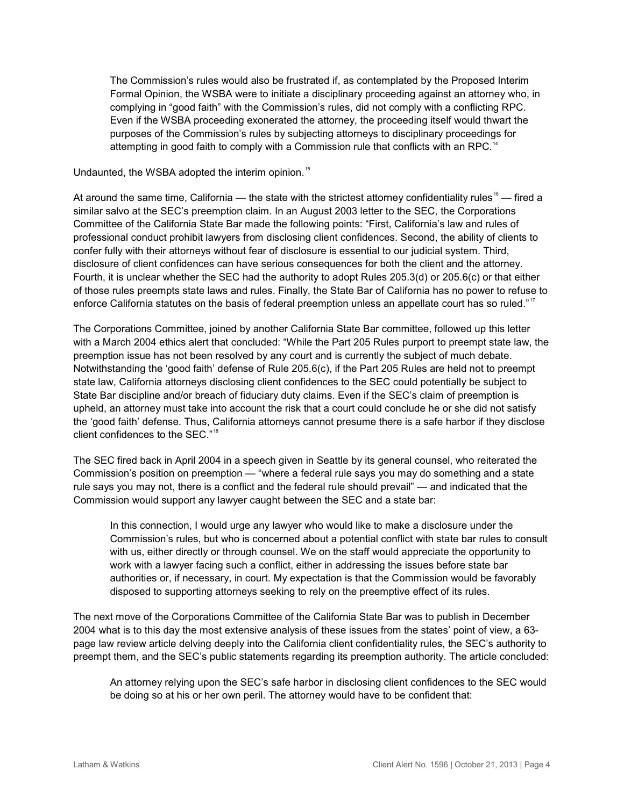The Commission's rules would also be frustrated if, as contemplated by the Proposed Interim Formal Opinion, the WSBA were to initiate a disciplinary proceeding against an attorney who, in complying in "good faith" with the Commission's rules, did not comply with a conflicting RPC. Even if the WSBA proceeding exonerated the attorney, the proceeding itself would thwart the purposes of the Commission's rules by subjecting attorneys to disciplinary proceedings for attempting in good faith to comply with a Commission rule that conflicts with an RPC.<sup>[14](#page-8-13)</sup>

Undaunted, the WSBA adopted the interim opinion.<sup>[15](#page-8-14)</sup>

At around the same time, California — the state with the strictest attorney confidentiality rules<sup>[16](#page-8-15)</sup> — fired a similar salvo at the SEC's preemption claim. In an August 2003 letter to the SEC, the Corporations Committee of the California State Bar made the following points: "First, California's law and rules of professional conduct prohibit lawyers from disclosing client confidences. Second, the ability of clients to confer fully with their attorneys without fear of disclosure is essential to our judicial system. Third, disclosure of client confidences can have serious consequences for both the client and the attorney. Fourth, it is unclear whether the SEC had the authority to adopt Rules 205.3(d) or 205.6(c) or that either of those rules preempts state laws and rules. Finally, the State Bar of California has no power to refuse to enforce California statutes on the basis of federal preemption unless an appellate court has so ruled."<sup>[17](#page-8-16)</sup>

The Corporations Committee, joined by another California State Bar committee, followed up this letter with a March 2004 ethics alert that concluded: "While the Part 205 Rules purport to preempt state law, the preemption issue has not been resolved by any court and is currently the subject of much debate. Notwithstanding the 'good faith' defense of Rule 205.6(c), if the Part 205 Rules are held not to preempt state law, California attorneys disclosing client confidences to the SEC could potentially be subject to State Bar discipline and/or breach of fiduciary duty claims. Even if the SEC's claim of preemption is upheld, an attorney must take into account the risk that a court could conclude he or she did not satisfy the 'good faith' defense. Thus, California attorneys cannot presume there is a safe harbor if they disclose client confidences to the SEC." [18](#page-8-17)

The SEC fired back in April 2004 in a speech given in Seattle by its general counsel, who reiterated the Commission's position on preemption — "where a federal rule says you may do something and a state rule says you may not, there is a conflict and the federal rule should prevail" — and indicated that the Commission would support any lawyer caught between the SEC and a state bar:

In this connection, I would urge any lawyer who would like to make a disclosure under the Commission's rules, but who is concerned about a potential conflict with state bar rules to consult with us, either directly or through counsel. We on the staff would appreciate the opportunity to work with a lawyer facing such a conflict, either in addressing the issues before state bar authorities or, if necessary, in court. My expectation is that the Commission would be favorably disposed to supporting attorneys seeking to rely on the preemptive effect of its rules.

The next move of the Corporations Committee of the California State Bar was to publish in December 2004 what is to this day the most extensive analysis of these issues from the states' point of view, a 63 page law review article delving deeply into the California client confidentiality rules, the SEC's authority to preempt them, and the SEC's public statements regarding its preemption authority. The article concluded:

An attorney relying upon the SEC's safe harbor in disclosing client confidences to the SEC would be doing so at his or her own peril. The attorney would have to be confident that: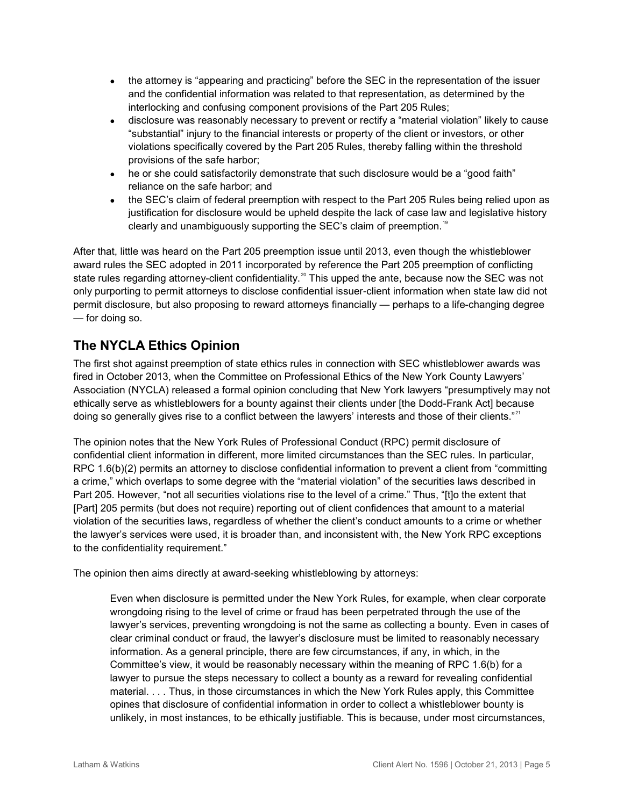- the attorney is "appearing and practicing" before the SEC in the representation of the issuer and the confidential information was related to that representation, as determined by the interlocking and confusing component provisions of the Part 205 Rules;
- disclosure was reasonably necessary to prevent or rectify a "material violation" likely to cause "substantial" injury to the financial interests or property of the client or investors, or other violations specifically covered by the Part 205 Rules, thereby falling within the threshold provisions of the safe harbor;
- he or she could satisfactorily demonstrate that such disclosure would be a "good faith" reliance on the safe harbor; and
- the SEC's claim of federal preemption with respect to the Part 205 Rules being relied upon as justification for disclosure would be upheld despite the lack of case law and legislative history clearly and unambiguously supporting the SEC's claim of preemption. [19](#page-8-18)

After that, little was heard on the Part 205 preemption issue until 2013, even though the whistleblower award rules the SEC adopted in 2011 incorporated by reference the Part 205 preemption of conflicting state rules regarding attorney-client confidentiality.<sup>[20](#page-8-19)</sup> This upped the ante, because now the SEC was not only purporting to permit attorneys to disclose confidential issuer-client information when state law did not permit disclosure, but also proposing to reward attorneys financially — perhaps to a life-changing degree — for doing so.

## **The NYCLA Ethics Opinion**

The first shot against preemption of state ethics rules in connection with SEC whistleblower awards was fired in October 2013, when the Committee on Professional Ethics of the New York County Lawyers' Association (NYCLA) released a formal opinion concluding that New York lawyers "presumptively may not ethically serve as whistleblowers for a bounty against their clients under [the Dodd-Frank Act] because doing so generally gives rise to a conflict between the lawyers' interests and those of their clients."<sup>[21](#page-8-20)</sup>

The opinion notes that the New York Rules of Professional Conduct (RPC) permit disclosure of confidential client information in different, more limited circumstances than the SEC rules. In particular, RPC 1.6(b)(2) permits an attorney to disclose confidential information to prevent a client from "committing a crime," which overlaps to some degree with the "material violation" of the securities laws described in Part 205. However, "not all securities violations rise to the level of a crime." Thus, "[t]o the extent that [Part] 205 permits (but does not require) reporting out of client confidences that amount to a material violation of the securities laws, regardless of whether the client's conduct amounts to a crime or whether the lawyer's services were used, it is broader than, and inconsistent with, the New York RPC exceptions to the confidentiality requirement."

The opinion then aims directly at award-seeking whistleblowing by attorneys:

Even when disclosure is permitted under the New York Rules, for example, when clear corporate wrongdoing rising to the level of crime or fraud has been perpetrated through the use of the lawyer's services, preventing wrongdoing is not the same as collecting a bounty. Even in cases of clear criminal conduct or fraud, the lawyer's disclosure must be limited to reasonably necessary information. As a general principle, there are few circumstances, if any, in which, in the Committee's view, it would be reasonably necessary within the meaning of RPC 1.6(b) for a lawyer to pursue the steps necessary to collect a bounty as a reward for revealing confidential material. . . . Thus, in those circumstances in which the New York Rules apply, this Committee opines that disclosure of confidential information in order to collect a whistleblower bounty is unlikely, in most instances, to be ethically justifiable. This is because, under most circumstances,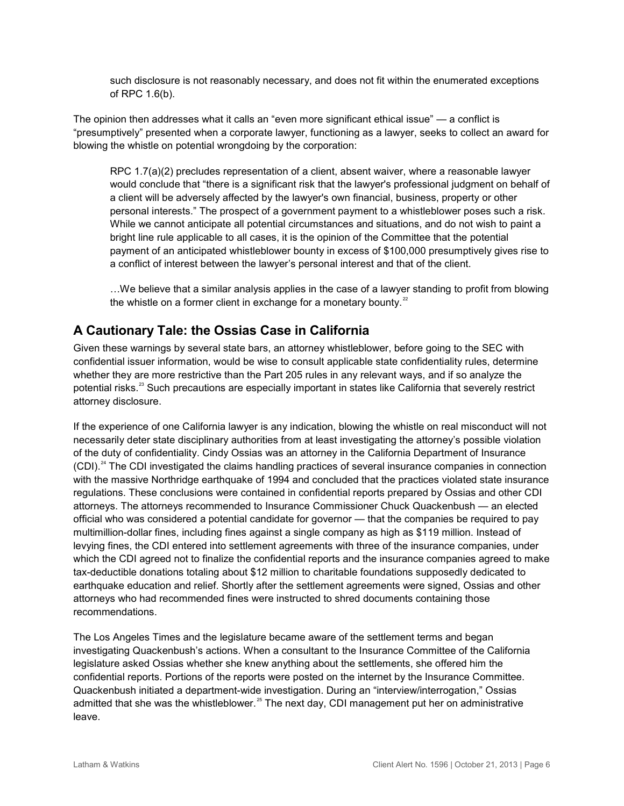such disclosure is not reasonably necessary, and does not fit within the enumerated exceptions of RPC 1.6(b).

The opinion then addresses what it calls an "even more significant ethical issue" — a conflict is "presumptively" presented when a corporate lawyer, functioning as a lawyer, seeks to collect an award for blowing the whistle on potential wrongdoing by the corporation:

RPC 1.7(a)(2) precludes representation of a client, absent waiver, where a reasonable lawyer would conclude that "there is a significant risk that the lawyer's professional judgment on behalf of a client will be adversely affected by the lawyer's own financial, business, property or other personal interests." The prospect of a government payment to a whistleblower poses such a risk. While we cannot anticipate all potential circumstances and situations, and do not wish to paint a bright line rule applicable to all cases, it is the opinion of the Committee that the potential payment of an anticipated whistleblower bounty in excess of \$100,000 presumptively gives rise to a conflict of interest between the lawyer's personal interest and that of the client.

…We believe that a similar analysis applies in the case of a lawyer standing to profit from blowing the whistle on a former client in exchange for a monetary bounty. $22$ 

## **A Cautionary Tale: the Ossias Case in California**

Given these warnings by several state bars, an attorney whistleblower, before going to the SEC with confidential issuer information, would be wise to consult applicable state confidentiality rules, determine whether they are more restrictive than the Part 205 rules in any relevant ways, and if so analyze the potential risks.<sup>[23](#page-8-22)</sup> Such precautions are especially important in states like California that severely restrict attorney disclosure.

If the experience of one California lawyer is any indication, blowing the whistle on real misconduct will not necessarily deter state disciplinary authorities from at least investigating the attorney's possible violation of the duty of confidentiality. Cindy Ossias was an attorney in the California Department of Insurance (CDI).<sup>[24](#page-8-23)</sup> The CDI investigated the claims handling practices of several insurance companies in connection with the massive Northridge earthquake of 1994 and concluded that the practices violated state insurance regulations. These conclusions were contained in confidential reports prepared by Ossias and other CDI attorneys. The attorneys recommended to Insurance Commissioner Chuck Quackenbush — an elected official who was considered a potential candidate for governor — that the companies be required to pay multimillion-dollar fines, including fines against a single company as high as \$119 million. Instead of levying fines, the CDI entered into settlement agreements with three of the insurance companies, under which the CDI agreed not to finalize the confidential reports and the insurance companies agreed to make tax-deductible donations totaling about \$12 million to charitable foundations supposedly dedicated to earthquake education and relief. Shortly after the settlement agreements were signed, Ossias and other attorneys who had recommended fines were instructed to shred documents containing those recommendations.

The Los Angeles Times and the legislature became aware of the settlement terms and began investigating Quackenbush's actions. When a consultant to the Insurance Committee of the California legislature asked Ossias whether she knew anything about the settlements, she offered him the confidential reports. Portions of the reports were posted on the internet by the Insurance Committee. Quackenbush initiated a department-wide investigation. During an "interview/interrogation," Ossias admitted that she was the whistleblower.<sup>[25](#page-8-24)</sup> The next day, CDI management put her on administrative leave.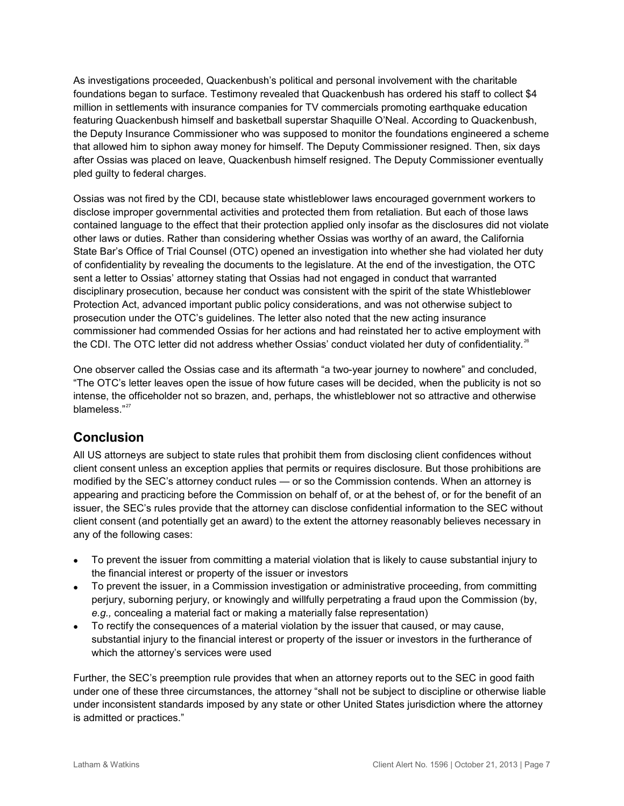As investigations proceeded, Quackenbush's political and personal involvement with the charitable foundations began to surface. Testimony revealed that Quackenbush has ordered his staff to collect \$4 million in settlements with insurance companies for TV commercials promoting earthquake education featuring Quackenbush himself and basketball superstar Shaquille O'Neal. According to Quackenbush, the Deputy Insurance Commissioner who was supposed to monitor the foundations engineered a scheme that allowed him to siphon away money for himself. The Deputy Commissioner resigned. Then, six days after Ossias was placed on leave, Quackenbush himself resigned. The Deputy Commissioner eventually pled guilty to federal charges.

Ossias was not fired by the CDI, because state whistleblower laws encouraged government workers to disclose improper governmental activities and protected them from retaliation. But each of those laws contained language to the effect that their protection applied only insofar as the disclosures did not violate other laws or duties. Rather than considering whether Ossias was worthy of an award, the California State Bar's Office of Trial Counsel (OTC) opened an investigation into whether she had violated her duty of confidentiality by revealing the documents to the legislature. At the end of the investigation, the OTC sent a letter to Ossias' attorney stating that Ossias had not engaged in conduct that warranted disciplinary prosecution, because her conduct was consistent with the spirit of the state Whistleblower Protection Act, advanced important public policy considerations, and was not otherwise subject to prosecution under the OTC's guidelines. The letter also noted that the new acting insurance commissioner had commended Ossias for her actions and had reinstated her to active employment with the CDI. The OTC letter did not address whether Ossias' conduct violated her duty of confidentiality.<sup>[26](#page-8-25)</sup>

One observer called the Ossias case and its aftermath "a two-year journey to nowhere" and concluded, "The OTC's letter leaves open the issue of how future cases will be decided, when the publicity is not so intense, the officeholder not so brazen, and, perhaps, the whistleblower not so attractive and otherwise blameless."[27](#page-8-26)

#### **Conclusion**

All US attorneys are subject to state rules that prohibit them from disclosing client confidences without client consent unless an exception applies that permits or requires disclosure. But those prohibitions are modified by the SEC's attorney conduct rules — or so the Commission contends. When an attorney is appearing and practicing before the Commission on behalf of, or at the behest of, or for the benefit of an issuer, the SEC's rules provide that the attorney can disclose confidential information to the SEC without client consent (and potentially get an award) to the extent the attorney reasonably believes necessary in any of the following cases:

- To prevent the issuer from committing a material violation that is likely to cause substantial injury to the financial interest or property of the issuer or investors
- To prevent the issuer, in a Commission investigation or administrative proceeding, from committing perjury, suborning perjury, or knowingly and willfully perpetrating a fraud upon the Commission (by, *e.g.,* concealing a material fact or making a materially false representation)
- To rectify the consequences of a material violation by the issuer that caused, or may cause, substantial injury to the financial interest or property of the issuer or investors in the furtherance of which the attorney's services were used

Further, the SEC's preemption rule provides that when an attorney reports out to the SEC in good faith under one of these three circumstances, the attorney "shall not be subject to discipline or otherwise liable under inconsistent standards imposed by any state or other United States jurisdiction where the attorney is admitted or practices."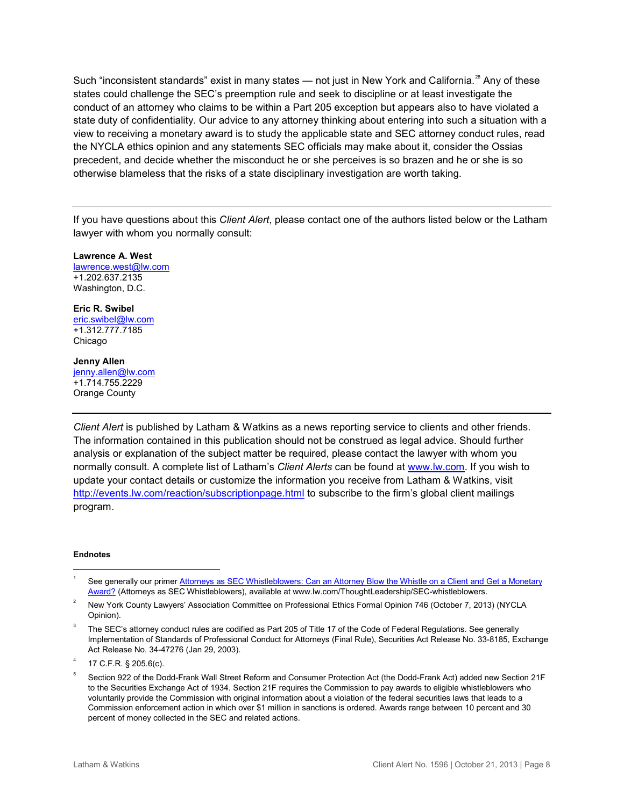Such "inconsistent standards" exist in many states — not just in New York and California.<sup>[28](#page-8-3)</sup> Any of these states could challenge the SEC's preemption rule and seek to discipline or at least investigate the conduct of an attorney who claims to be within a Part 205 exception but appears also to have violated a state duty of confidentiality. Our advice to any attorney thinking about entering into such a situation with a view to receiving a monetary award is to study the applicable state and SEC attorney conduct rules, read the NYCLA ethics opinion and any statements SEC officials may make about it, consider the Ossias precedent, and decide whether the misconduct he or she perceives is so brazen and he or she is so otherwise blameless that the risks of a state disciplinary investigation are worth taking.

If you have questions about this *Client Alert*, please contact one of the authors listed below or the Latham lawyer with whom you normally consult:

**Lawrence A. West** lawrence.west@lw.com +1.202.637.2135 Washington, D.C.

**Eric R. Swibel** eric.swibel@lw.com +1.312.777.7185 Chicago

#### **Jenny Allen**

jenny.allen@lw.com +1.714.755.2229 Orange County

*Client Alert* is published by Latham & Watkins as a news reporting service to clients and other friends. The information contained in this publication should not be construed as legal advice. Should further analysis or explanation of the subject matter be required, please contact the lawyer with whom you normally consult. A complete list of Latham's *Client Alerts* can be found at [www.lw.com.](http://www.lw.com/) If you wish to update your contact details or customize the information you receive from Latham & Watkins, visit <http://events.lw.com/reaction/subscriptionpage.html> to subscribe to the firm's global client mailings program.

#### **Endnotes**

 $\overline{a}$ 1 See generally our primer Attorneys as SEC Whistleblowers: Can an Attorney Blow the Whistle on a Client and Get a Monetary [Award?](http://www.lw.com/thoughtLeadership/SEC-whistleblowers) (Attorneys as SEC Whistleblowers), available at www.lw.com/ThoughtLeadership/SEC-whistleblowers.

<sup>2</sup> New York County Lawyers' Association Committee on Professional Ethics Formal Opinion 746 (October 7, 2013) (NYCLA Opinion).

<sup>3</sup> The SEC's attorney conduct rules are codified as Part 205 of Title 17 of the Code of Federal Regulations. See generally Implementation of Standards of Professional Conduct for Attorneys (Final Rule), Securities Act Release No. 33-8185, Exchange Act Release No. 34-47276 (Jan 29, 2003).

<sup>4</sup> 17 C.F.R. § 205.6(c).

<sup>5</sup> Section 922 of the Dodd-Frank Wall Street Reform and Consumer Protection Act (the Dodd-Frank Act) added new Section 21F to the Securities Exchange Act of 1934. Section 21F requires the Commission to pay awards to eligible whistleblowers who voluntarily provide the Commission with original information about a violation of the federal securities laws that leads to a Commission enforcement action in which over \$1 million in sanctions is ordered. Awards range between 10 percent and 30 percent of money collected in the SEC and related actions.